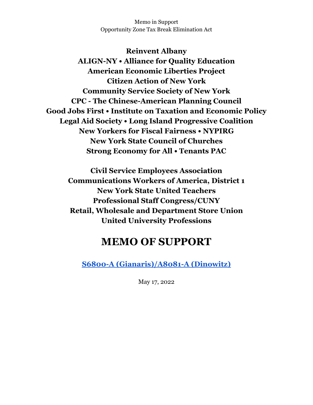Memo in Support Opportunity Zone Tax Break Elimination Act

**Reinvent Albany ALIGN-NY • Alliance for Quality Education American Economic Liberties Project Citizen Action of New York Community Service Society of New York CPC - The Chinese-American Planning Council Good Jobs First • Institute on Taxation and Economic Policy Legal Aid Society • Long Island Progressive Coalition New Yorkers for Fiscal Fairness • NYPIRG New York State Council of Churches Strong Economy for All • Tenants PAC**

**Civil Service Employees Association Communications Workers of America, District 1 New York State United Teachers Professional Staff Congress/CUNY Retail, Wholesale and Department Store Union United University Professions**

## **MEMO OF SUPPORT**

**S6800-A [\(Gianaris\)/A8081-A](https://www.nysenate.gov/legislation/bills/2021/S6800) (Dinowitz)**

May 17, 2022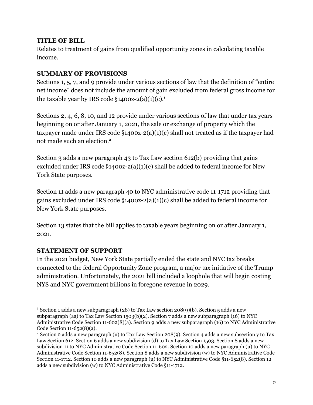## **TITLE OF BILL**

Relates to treatment of gains from qualified opportunity zones in calculating taxable income.

## **SUMMARY OF PROVISIONS**

Sections 1, 5, 7, and 9 provide under various sections of law that the definition of "entire net income" does not include the amount of gain excluded from federal gross income for the taxable year by IRS code  $§1400z-2(a)(1)(c).<sup>1</sup>$ 

Sections 2, 4, 6, 8, 10, and 12 provide under various sections of law that under tax years beginning on or after January 1, 2021, the sale or exchange of property which the taxpayer made under IRS code §1400z-2(a)(1)(c) shall not treated as if the taxpayer had not made such an election.<sup>2</sup>

Section 3 adds a new paragraph 43 to Tax Law section 612(b) providing that gains excluded under IRS code §1400z-2(a)(1)(c) shall be added to federal income for New York State purposes.

Section 11 adds a new paragraph 40 to NYC administrative code 11-1712 providing that gains excluded under IRS code §1400z-2(a)(1)(c) shall be added to federal income for New York State purposes.

Section 13 states that the bill applies to taxable years beginning on or after January 1, 2021.

## **STATEMENT OF SUPPORT**

In the 2021 budget, New York State partially ended the state and NYC tax breaks connected to the federal Opportunity Zone program, a major tax initiative of the Trump administration. Unfortunately, the 2021 bill included a loophole that will begin costing NYS and NYC government billions in foregone revenue in 2029.

<sup>1</sup> Section 1 adds a new subparagraph (28) to Tax Law section 208(9)(b). Section 5 adds a new subparagraph (aa) to Tax Law Section 1503(b)(2). Section 7 adds a new subparagraph (16) to NYC Administrative Code Section 11-602(8)(a). Section 9 adds a new subparagraph (16) to NYC Administrative Code Section 11-652(8)(a).

<sup>&</sup>lt;sup>2</sup> Section 2 adds a new paragraph (u) to Tax Law Section 208(9). Section 4 adds a new subsection y to Tax Law Section 612. Section 6 adds a new subdivision (d) to Tax Law Section 1503. Section 8 adds a new subdivision 11 to NYC Administrative Code Section 11-602. Section 10 adds a new paragraph (u) to NYC Administrative Code Section 11-652(8). Section 8 adds a new subdivision (w) to NYC Administrative Code Section 11-1712. Section 10 adds a new paragraph (u) to NYC Administrative Code §11-652(8). Section 12 adds a new subdivision (w) to NYC Administrative Code §11-1712.